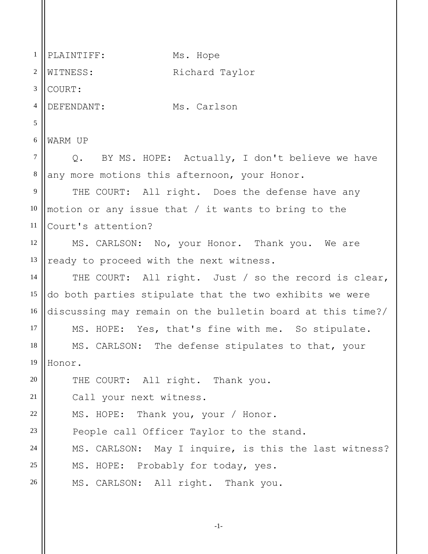| $\mathbf{1}$   | PLAINTIFF:<br>Ms. Hope                                     |
|----------------|------------------------------------------------------------|
| $\overline{2}$ | WITNESS:<br>Richard Taylor                                 |
| 3              | COURT:                                                     |
| 4              | DEFENDANT:<br>Ms. Carlson                                  |
| 5              |                                                            |
| 6              | WARM UP                                                    |
| $\tau$         | Q. BY MS. HOPE: Actually, I don't believe we have          |
| $8\phantom{.}$ | any more motions this afternoon, your Honor.               |
| 9              | THE COURT: All right. Does the defense have any            |
| 10             | motion or any issue that $/$ it wants to bring to the      |
| 11             | Court's attention?                                         |
| 12             | MS. CARLSON: No, your Honor. Thank you. We are             |
| 13             | ready to proceed with the next witness.                    |
| 14             | THE COURT: All right. Just / so the record is clear,       |
| 15             | do both parties stipulate that the two exhibits we were    |
| 16             | discussing may remain on the bulletin board at this time?/ |
| 17             | MS. HOPE: Yes, that's fine with me. So stipulate.          |
| 18             | MS. CARLSON: The defense stipulates to that, your          |
| 19             | Honor.                                                     |
| 20             | THE COURT: All right. Thank you.                           |
| 21             | Call your next witness.                                    |
| 22             | MS. HOPE: Thank you, your / Honor.                         |
| 23             | People call Officer Taylor to the stand.                   |
| 24             | MS. CARLSON: May I inquire, is this the last witness?      |
| 25             | MS. HOPE: Probably for today, yes.                         |
| 26             | MS. CARLSON: All right. Thank you.                         |

-1-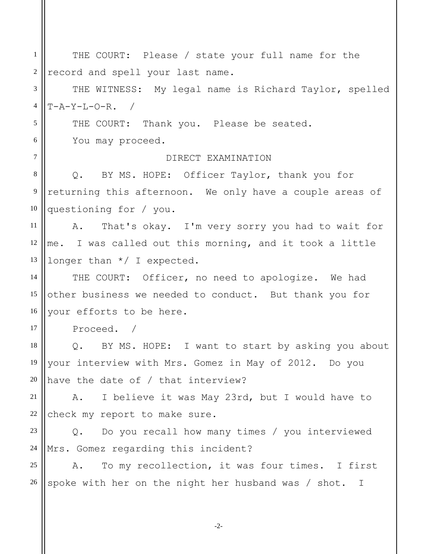1 2 3 4 5 6 7 8 9 10 11 12 13 14 15 16 17 18 19 20 21 22 23 24 25 26 THE COURT: Please / state your full name for the record and spell your last name. THE WITNESS: My legal name is Richard Taylor, spelled  $T-A-Y-L-O-R.$ THE COURT: Thank you. Please be seated. You may proceed. DIRECT EXAMINATION Q. BY MS. HOPE: Officer Taylor, thank you for returning this afternoon. We only have a couple areas of questioning for / you. A. That's okay. I'm very sorry you had to wait for me. I was called out this morning, and it took a little longer than \*/ I expected. THE COURT: Officer, no need to apologize. We had other business we needed to conduct. But thank you for your efforts to be here. Proceed. / Q. BY MS. HOPE: I want to start by asking you about your interview with Mrs. Gomez in May of 2012. Do you have the date of / that interview? A. I believe it was May 23rd, but I would have to check my report to make sure. Q. Do you recall how many times / you interviewed Mrs. Gomez regarding this incident? A. To my recollection, it was four times. I first spoke with her on the night her husband was / shot. I

-2-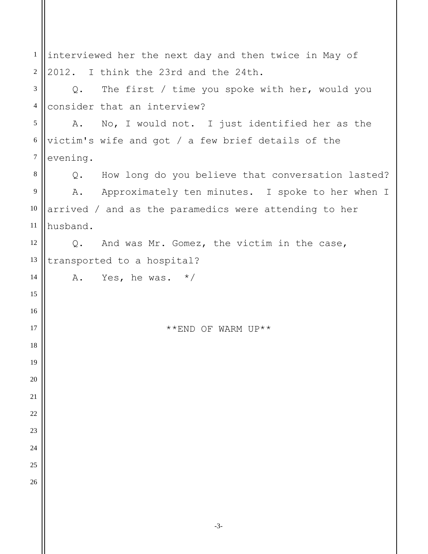| $\mathbf{1}$   | interviewed her the next day and then twice in May of       |  |
|----------------|-------------------------------------------------------------|--|
| $\mathfrak{2}$ | 2012. I think the 23rd and the 24th.                        |  |
| 3              | The first / time you spoke with her, would you<br>Q.        |  |
| $\overline{4}$ | consider that an interview?                                 |  |
| 5              | A. No, I would not. I just identified her as the            |  |
| 6              | victim's wife and got / a few brief details of the          |  |
| $\overline{7}$ | evening.                                                    |  |
| 8              | How long do you believe that conversation lasted?<br>Q.     |  |
| 9              | A. Approximately ten minutes. I spoke to her when I         |  |
| 10             | arrived / and as the paramedics were attending to her       |  |
| 11             | husband.                                                    |  |
| 12             | And was Mr. Gomez, the victim in the case,<br>$Q_{\bullet}$ |  |
| 13             | transported to a hospital?                                  |  |
| 14             | A. Yes, he was. $*/$                                        |  |
| 15             |                                                             |  |
| 16             |                                                             |  |
| 17             | **END OF WARM UP**                                          |  |
| 18             |                                                             |  |
| 19             |                                                             |  |
| 20             |                                                             |  |
| 21             |                                                             |  |
| 22             |                                                             |  |
| 23             |                                                             |  |
| 24             |                                                             |  |
| 25             |                                                             |  |
| 26             |                                                             |  |
|                |                                                             |  |
|                |                                                             |  |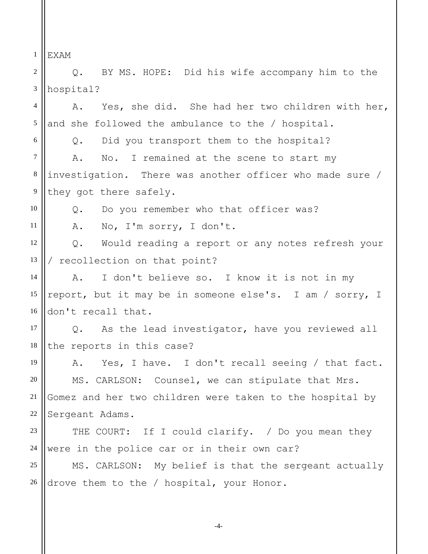1 2 3 4 5 6 7 8 9 10 11 12 13 14 15 16 17 18 19 20 21 22 23 24 25 26 EXAM Q. BY MS. HOPE: Did his wife accompany him to the hospital? A. Yes, she did. She had her two children with her, and she followed the ambulance to the / hospital. Q. Did you transport them to the hospital? A. No. I remained at the scene to start my investigation. There was another officer who made sure / they got there safely. Q. Do you remember who that officer was? A. No, I'm sorry, I don't. Q. Would reading a report or any notes refresh your / recollection on that point? A. I don't believe so. I know it is not in my report, but it may be in someone else's. I am / sorry, I don't recall that. Q. As the lead investigator, have you reviewed all the reports in this case? A. Yes, I have. I don't recall seeing / that fact. MS. CARLSON: Counsel, we can stipulate that Mrs. Gomez and her two children were taken to the hospital by Sergeant Adams. THE COURT: If I could clarify. / Do you mean they were in the police car or in their own car? MS. CARLSON: My belief is that the sergeant actually drove them to the / hospital, your Honor.

-4-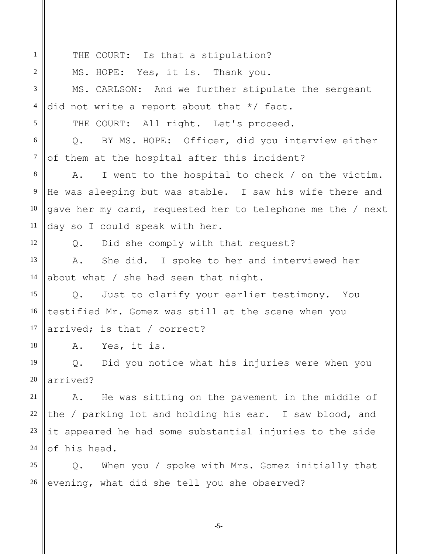1 2 3 4 5 6 7 8 9 10 11 12 13 14 15 16 17 18 19 20 21 22 23 24 25 26 THE COURT: Is that a stipulation? MS. HOPE: Yes, it is. Thank you. MS. CARLSON: And we further stipulate the sergeant did not write a report about that \*/ fact. THE COURT: All right. Let's proceed. Q. BY MS. HOPE: Officer, did you interview either of them at the hospital after this incident? A. I went to the hospital to check / on the victim. He was sleeping but was stable. I saw his wife there and gave her my card, requested her to telephone me the / next day so I could speak with her. Q. Did she comply with that request? A. She did. I spoke to her and interviewed her about what / she had seen that night. Q. Just to clarify your earlier testimony. You testified Mr. Gomez was still at the scene when you arrived; is that / correct? A. Yes, it is. Q. Did you notice what his injuries were when you arrived? A. He was sitting on the pavement in the middle of the / parking lot and holding his ear. I saw blood, and it appeared he had some substantial injuries to the side of his head. Q. When you / spoke with Mrs. Gomez initially that evening, what did she tell you she observed?

-5-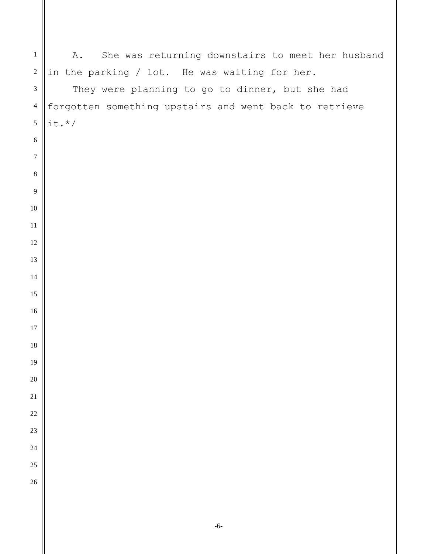| $\mathbf{1}$                | She was returning downstairs to meet her husband<br>Α. |
|-----------------------------|--------------------------------------------------------|
| $\sqrt{2}$                  | in the parking / lot. He was waiting for her.          |
| $\ensuremath{\mathfrak{Z}}$ | They were planning to go to dinner, but she had        |
| $\overline{4}$              | forgotten something upstairs and went back to retrieve |
| $\sqrt{5}$                  | $it.*/$                                                |
| 6                           |                                                        |
| $\tau$                      |                                                        |
| $\,8\,$                     |                                                        |
| 9                           |                                                        |
| $10\,$                      |                                                        |
| 11                          |                                                        |
| 12                          |                                                        |
| 13                          |                                                        |
| 14                          |                                                        |
| 15                          |                                                        |
| 16                          |                                                        |
| 17                          |                                                        |
| 18                          |                                                        |
| 19                          |                                                        |
| $20\,$                      |                                                        |
| $21\,$                      |                                                        |
| $22\,$                      |                                                        |
| 23                          |                                                        |
| 24                          |                                                        |
| 25                          |                                                        |
| $26\,$                      |                                                        |
|                             |                                                        |
|                             | $-6-$                                                  |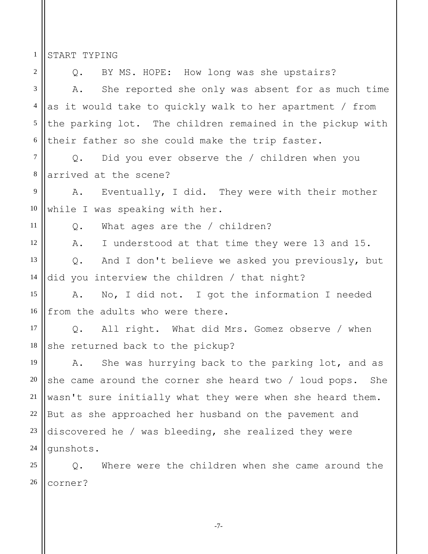START TYPING

1

2 3 4 5 6 7 8 9 10 11 12 13 14 15 16 17 18 19 20 21 22 23 24 25 26 Q. BY MS. HOPE: How long was she upstairs? A. She reported she only was absent for as much time as it would take to quickly walk to her apartment / from the parking lot. The children remained in the pickup with their father so she could make the trip faster. Q. Did you ever observe the / children when you arrived at the scene? A. Eventually, I did. They were with their mother while I was speaking with her. Q. What ages are the / children? A. I understood at that time they were 13 and 15. Q. And I don't believe we asked you previously, but did you interview the children / that night? A. No, I did not. I got the information I needed from the adults who were there. Q. All right. What did Mrs. Gomez observe / when she returned back to the pickup? A. She was hurrying back to the parking lot, and as she came around the corner she heard two / loud pops. She wasn't sure initially what they were when she heard them. But as she approached her husband on the pavement and discovered he / was bleeding, she realized they were gunshots. Q. Where were the children when she came around the corner?

-7-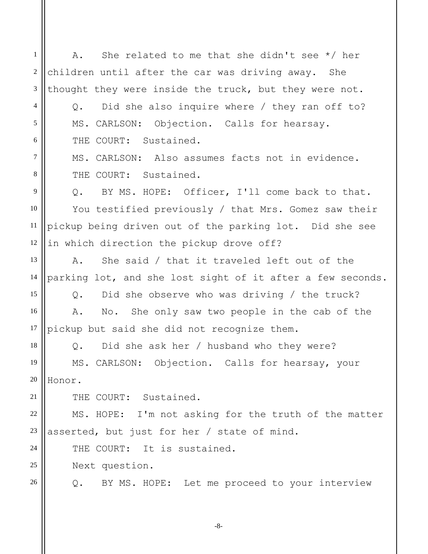1 2 3 4 5 6 7 8 9 10 11 12 13 14 15 16 17 18 19 20 21 22 23 24 25 26 A. She related to me that she didn't see \*/ her children until after the car was driving away. She thought they were inside the truck, but they were not. Q. Did she also inquire where / they ran off to? MS. CARLSON: Objection. Calls for hearsay. THE COURT: Sustained. MS. CARLSON: Also assumes facts not in evidence. THE COURT: Sustained. Q. BY MS. HOPE: Officer, I'll come back to that. You testified previously / that Mrs. Gomez saw their pickup being driven out of the parking lot. Did she see in which direction the pickup drove off? A. She said / that it traveled left out of the parking lot, and she lost sight of it after a few seconds. Q. Did she observe who was driving / the truck? A. No. She only saw two people in the cab of the pickup but said she did not recognize them. Q. Did she ask her / husband who they were? MS. CARLSON: Objection. Calls for hearsay, your Honor. THE COURT: Sustained. MS. HOPE: I'm not asking for the truth of the matter asserted, but just for her / state of mind. THE COURT: It is sustained. Next question. Q. BY MS. HOPE: Let me proceed to your interview

-8-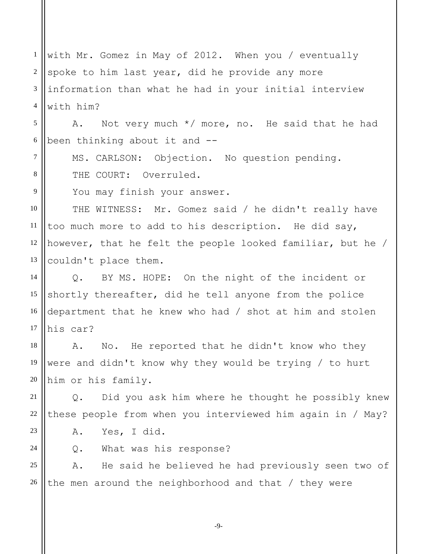1 2 3 4 with Mr. Gomez in May of 2012. When you / eventually spoke to him last year, did he provide any more information than what he had in your initial interview with him?

5 6 A. Not very much \*/ more, no. He said that he had been thinking about it and --

MS. CARLSON: Objection. No question pending. THE COURT: Overruled.

You may finish your answer.

10 11 12 13 THE WITNESS: Mr. Gomez said / he didn't really have too much more to add to his description. He did say, however, that he felt the people looked familiar, but he / couldn't place them.

14 15 16 17 Q. BY MS. HOPE: On the night of the incident or shortly thereafter, did he tell anyone from the police department that he knew who had / shot at him and stolen his car?

18 19 20 A. No. He reported that he didn't know who they were and didn't know why they would be trying / to hurt him or his family.

21 22 Q. Did you ask him where he thought he possibly knew these people from when you interviewed him again in / May?

23 24

7

8

9

A. Yes, I did.

Q. What was his response?

25 26 A. He said he believed he had previously seen two of the men around the neighborhood and that / they were

-9-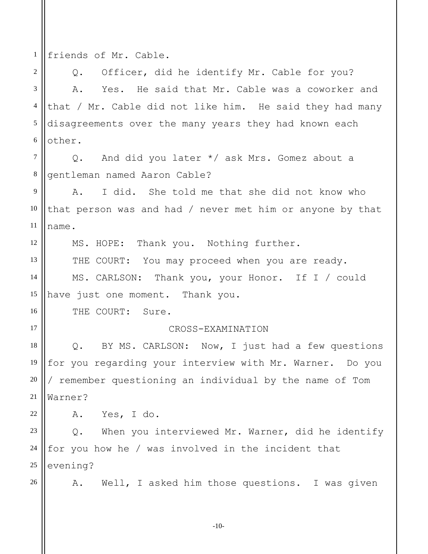1 friends of Mr. Cable.

2 3 4 5 6 Q. Officer, did he identify Mr. Cable for you? A. Yes. He said that Mr. Cable was a coworker and that / Mr. Cable did not like him. He said they had many disagreements over the many years they had known each other.

7 8 Q. And did you later \*/ ask Mrs. Gomez about a gentleman named Aaron Cable?

9 10 11 A. I did. She told me that she did not know who that person was and had / never met him or anyone by that name.

MS. HOPE: Thank you. Nothing further.

THE COURT: You may proceed when you are ready.

14 15 MS. CARLSON: Thank you, your Honor. If I / could have just one moment. Thank you.

THE COURT: Sure.

## CROSS-EXAMINATION

18 19 20 21 Q. BY MS. CARLSON: Now, I just had a few questions for you regarding your interview with Mr. Warner. Do you / remember questioning an individual by the name of Tom Warner?

22 A. Yes, I do.

23 24 25 Q. When you interviewed Mr. Warner, did he identify for you how he / was involved in the incident that evening?

26

12

13

16

17

A. Well, I asked him those questions. I was given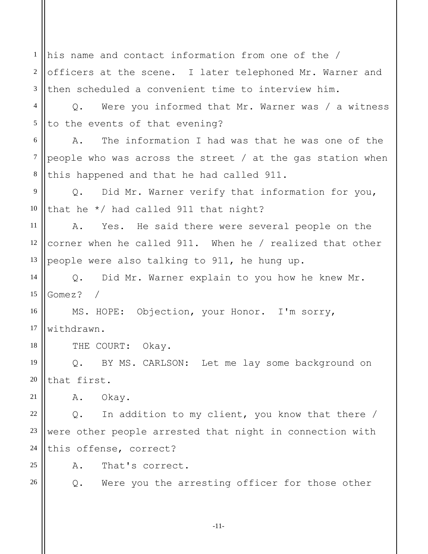1 2 3 4 5 6 7 8 9 10 11 12 13 14 15 16 17 18 19 20 21 22 23 24 25 26 his name and contact information from one of the / officers at the scene. I later telephoned Mr. Warner and then scheduled a convenient time to interview him. Q. Were you informed that Mr. Warner was / a witness to the events of that evening? A. The information I had was that he was one of the people who was across the street / at the gas station when this happened and that he had called 911. Q. Did Mr. Warner verify that information for you, that he \*/ had called 911 that night? A. Yes. He said there were several people on the corner when he called 911. When he / realized that other people were also talking to 911, he hung up. Q. Did Mr. Warner explain to you how he knew Mr. Gomez? / MS. HOPE: Objection, your Honor. I'm sorry, withdrawn. THE COURT: Okay. Q. BY MS. CARLSON: Let me lay some background on that first. A. Okay. Q. In addition to my client, you know that there / were other people arrested that night in connection with this offense, correct? A. That's correct. Q. Were you the arresting officer for those other

-11-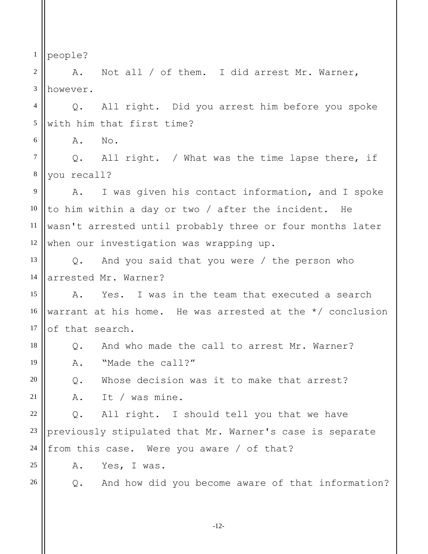1 people?

6

2 3 A. Not all / of them. I did arrest Mr. Warner, however.

4 5 Q. All right. Did you arrest him before you spoke with him that first time?

A. No.

7 8 Q. All right. / What was the time lapse there, if you recall?

9 10 11 12 A. I was given his contact information, and I spoke to him within a day or two / after the incident. He wasn't arrested until probably three or four months later when our investigation was wrapping up.

13 14 Q. And you said that you were / the person who arrested Mr. Warner?

15 16 17 A. Yes. I was in the team that executed a search warrant at his home. He was arrested at the \*/ conclusion of that search.

18 Q. And who made the call to arrest Mr. Warner?

A. "Made the call?"

Q. Whose decision was it to make that arrest?

A. It / was mine.

22 23 24 Q. All right. I should tell you that we have previously stipulated that Mr. Warner's case is separate from this case. Were you aware / of that?

A. Yes, I was.

26

25

19

20

21

Q. And how did you become aware of that information?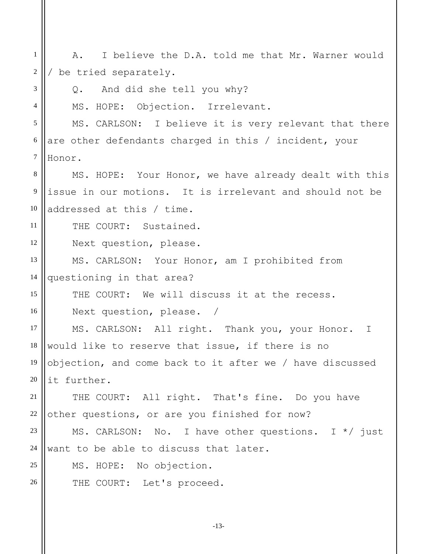| 1              | I believe the D.A. told me that Mr. Warner would<br>Α.         |
|----------------|----------------------------------------------------------------|
| 2              | be tried separately.                                           |
| 3              | And did she tell you why?<br>$\circ$ .                         |
| $\overline{4}$ | MS. HOPE: Objection. Irrelevant.                               |
| 5              | MS. CARLSON: I believe it is very relevant that there          |
| 6              | are other defendants charged in this / incident, your          |
| $\tau$         | Honor.                                                         |
| $8\,$          | MS. HOPE: Your Honor, we have already dealt with this          |
| $\overline{9}$ | issue in our motions. It is irrelevant and should not be       |
| 10             | addressed at this / time.                                      |
| 11             | THE COURT: Sustained.                                          |
| 12             | Next question, please.                                         |
| 13             | MS. CARLSON: Your Honor, am I prohibited from                  |
| 14             | questioning in that area?                                      |
| 15             | THE COURT: We will discuss it at the recess.                   |
| 16             | Next question, please. /                                       |
| 17             | MS. CARLSON: All right. Thank you, your Honor.<br>$\mathbb{I}$ |
| 18             | would like to reserve that issue, if there is no               |
| 19             | objection, and come back to it after we / have discussed       |
| 20             | it further.                                                    |
| 21             | THE COURT: All right. That's fine. Do you have                 |
| 22             | other questions, or are you finished for now?                  |
| 23             | MS. CARLSON: No. I have other questions. I $*/$ just           |
| 24             | want to be able to discuss that later.                         |
| 25             | MS. HOPE: No objection.                                        |
| 26             | THE COURT: Let's proceed.                                      |
|                |                                                                |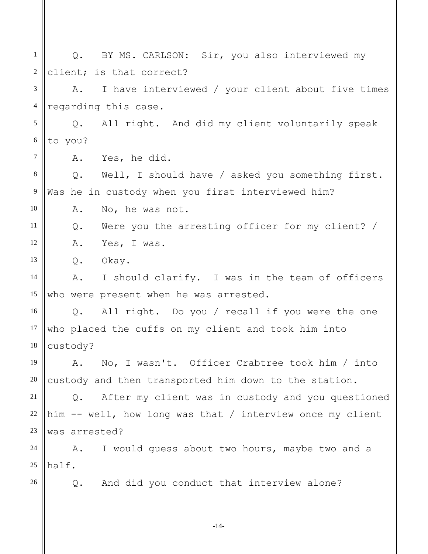1 2 3 4 5 6 7 8 9 10 11 12 13 14 15 16 17 18 19 20 21 22 23 24 25 26 Q. BY MS. CARLSON: Sir, you also interviewed my client; is that correct? A. I have interviewed / your client about five times regarding this case. Q. All right. And did my client voluntarily speak to you? A. Yes, he did. Q. Well, I should have / asked you something first. Was he in custody when you first interviewed him? A. No, he was not. Q. Were you the arresting officer for my client? / A. Yes, I was. Q. Okay. A. I should clarify. I was in the team of officers who were present when he was arrested. Q. All right. Do you / recall if you were the one who placed the cuffs on my client and took him into custody? A. No, I wasn't. Officer Crabtree took him / into custody and then transported him down to the station. Q. After my client was in custody and you questioned him -- well, how long was that / interview once my client was arrested? A. I would guess about two hours, maybe two and a half. Q. And did you conduct that interview alone?

-14-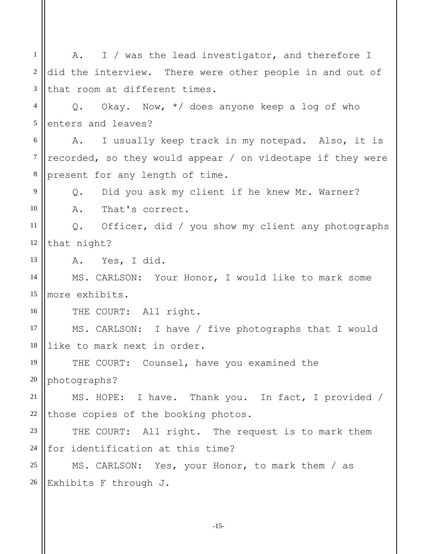1 2 3 4 5 6 7 8 9 10 11 12 13 14 15 16 17 18 19 20 21 22 23 24 25 26 A. I / was the lead investigator, and therefore I did the interview. There were other people in and out of that room at different times. Q. Okay. Now, \*/ does anyone keep a log of who enters and leaves? A. I usually keep track in my notepad. Also, it is recorded, so they would appear / on videotape if they were present for any length of time. Q. Did you ask my client if he knew Mr. Warner? A. That's correct. Q. Officer, did / you show my client any photographs that night? A. Yes, I did. MS. CARLSON: Your Honor, I would like to mark some more exhibits. THE COURT: All right. MS. CARLSON: I have / five photographs that I would like to mark next in order. THE COURT: Counsel, have you examined the photographs? MS. HOPE: I have. Thank you. In fact, I provided / those copies of the booking photos. THE COURT: All right. The request is to mark them for identification at this time? MS. CARLSON: Yes, your Honor, to mark them / as Exhibits F through J.

-15-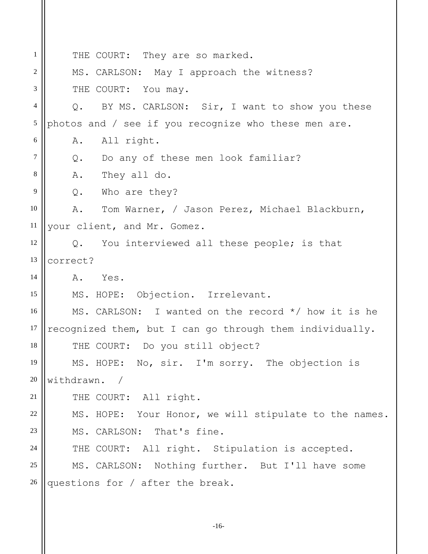1 2 3 4 5 6 7 8 9 10 11 12 13 14 15 16 17 18 19 20 21 22 23 24 25 26 THE COURT: They are so marked. MS. CARLSON: May I approach the witness? THE COURT: You may. Q. BY MS. CARLSON: Sir, I want to show you these photos and / see if you recognize who these men are. A. All right. Q. Do any of these men look familiar? A. They all do. Q. Who are they? A. Tom Warner, / Jason Perez, Michael Blackburn, your client, and Mr. Gomez. Q. You interviewed all these people; is that correct? A. Yes. MS. HOPE: Objection. Irrelevant. MS. CARLSON: I wanted on the record \*/ how it is he recognized them, but I can go through them individually. THE COURT: Do you still object? MS. HOPE: No, sir. I'm sorry. The objection is withdrawn. / THE COURT: All right. MS. HOPE: Your Honor, we will stipulate to the names. MS. CARLSON: That's fine. THE COURT: All right. Stipulation is accepted. MS. CARLSON: Nothing further. But I'll have some questions for / after the break.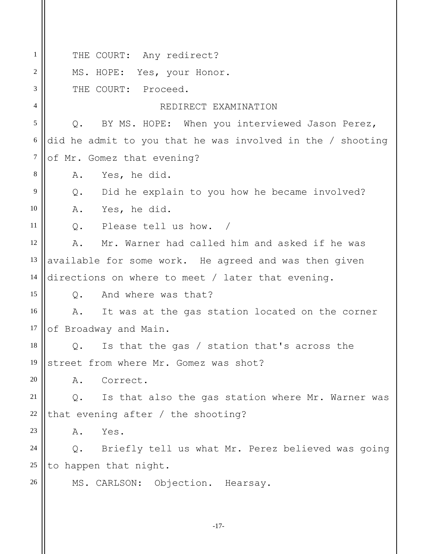1 2 3 4 5 6 7 8 9 10 11 12 13 14 15 16 17 18 19 20 21 22 23 24 25 26 THE COURT: Any redirect? MS. HOPE: Yes, your Honor. THE COURT: Proceed. REDIRECT EXAMINATION Q. BY MS. HOPE: When you interviewed Jason Perez, did he admit to you that he was involved in the / shooting of Mr. Gomez that evening? A. Yes, he did. Q. Did he explain to you how he became involved? A. Yes, he did. Q. Please tell us how. / A. Mr. Warner had called him and asked if he was available for some work. He agreed and was then given directions on where to meet / later that evening. Q. And where was that? A. It was at the gas station located on the corner of Broadway and Main. Q. Is that the gas / station that's across the street from where Mr. Gomez was shot? A. Correct. Q. Is that also the gas station where Mr. Warner was that evening after / the shooting? A. Yes. Q. Briefly tell us what Mr. Perez believed was going to happen that night. MS. CARLSON: Objection. Hearsay.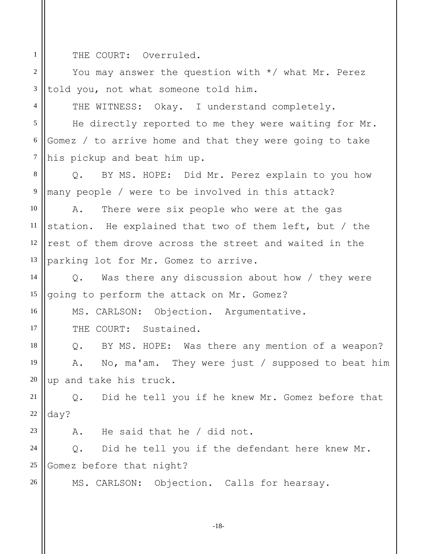THE COURT: Overruled.

1

2

3

4

16

17

23

26

You may answer the question with \*/ what Mr. Perez told you, not what someone told him.

THE WITNESS: Okay. I understand completely.

5 6 7 He directly reported to me they were waiting for Mr. Gomez / to arrive home and that they were going to take his pickup and beat him up.

8 9 Q. BY MS. HOPE: Did Mr. Perez explain to you how many people / were to be involved in this attack?

10 11 12 13 A. There were six people who were at the gas station. He explained that two of them left, but / the rest of them drove across the street and waited in the parking lot for Mr. Gomez to arrive.

14 15 Q. Was there any discussion about how / they were going to perform the attack on Mr. Gomez?

MS. CARLSON: Objection. Argumentative.

THE COURT: Sustained.

18 19 20 Q. BY MS. HOPE: Was there any mention of a weapon? A. No, ma'am. They were just / supposed to beat him up and take his truck.

21 22 Q. Did he tell you if he knew Mr. Gomez before that day?

A. He said that he / did not.

24 25 Q. Did he tell you if the defendant here knew Mr. Gomez before that night?

MS. CARLSON: Objection. Calls for hearsay.

-18-